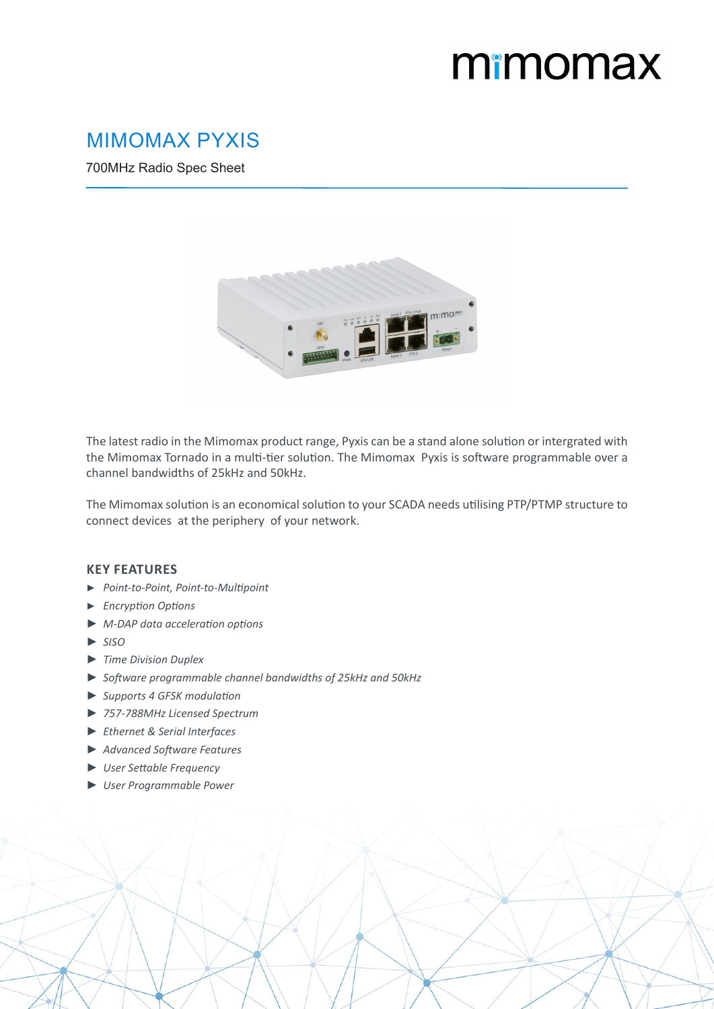## mimomax

## MIMOMAX PYXIS

700MHz Radio Spec Sheet



The latest radio in the Mimomax product range, Pyxis can be a stand alone solution or intergrated with the Mimomax Tornado in a multi-tier solution. The Mimomax Pyxis is software programmable over a channel bandwidths of 25kHz and 50kHz.

The Mimomax solution is an economical solution to your SCADA needs utilising PTP/PTMP structure to connect devices at the periphery of your network.

## **KEY FEATURES**

- ► *Point-to-Point, Point-to-Multipoint*
- ► *Encryption Options*
- ► *M-DAP data acceleration options*
- ► *SISO*
- ► *Time Division Duplex*
- ► *Software programmable channel bandwidths of 25kHz and 50kHz*
- ► *Supports 4 GFSK modulation*
- ► *757-788MHz Licensed Spectrum*
- ► *Ethernet & Serial Interfaces*
- ► *Advanced Software Features*
- ► *User Settable Frequency*
- ► *User Programmable Power*